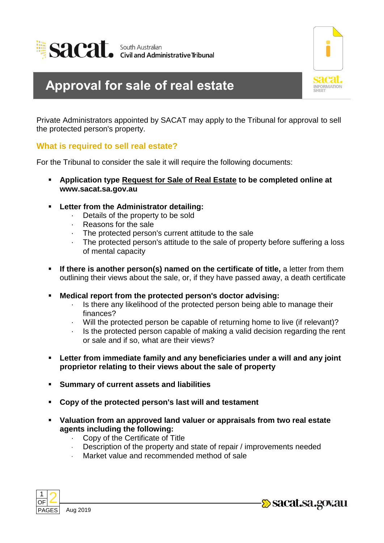



## **Approval for sale of real estate**

Private Administrators appointed by SACAT may apply to the Tribunal for approval to sell the protected person's property.

## **What is required to sell real estate?**

For the Tribunal to consider the sale it will require the following documents:

- **Application type Request for Sale of Real Estate to be completed online at www.sacat.sa.gov.au**
- **Letter from the Administrator detailing:** 
	- · Details of the property to be sold
	- · Reasons for the sale
	- · The protected person's current attitude to the sale
	- The protected person's attitude to the sale of property before suffering a loss of mental capacity
- **If there is another person(s) named on the certificate of title,** a letter from them outlining their views about the sale, or, if they have passed away, a death certificate
- **Medical report from the protected person's doctor advising:** 
	- · Is there any likelihood of the protected person being able to manage their finances?
	- · Will the protected person be capable of returning home to live (if relevant)?
	- · Is the protected person capable of making a valid decision regarding the rent or sale and if so, what are their views?
- **Letter from immediate family and any beneficiaries under a will and any joint proprietor relating to their views about the sale of property**
- **Summary of current assets and liabilities**
- **Copy of the protected person's last will and testament**
- **Valuation from an approved land valuer or appraisals from two real estate agents including the following:**
	- · Copy of the Certificate of Title
	- Description of the property and state of repair / improvements needed
	- Market value and recommended method of sale